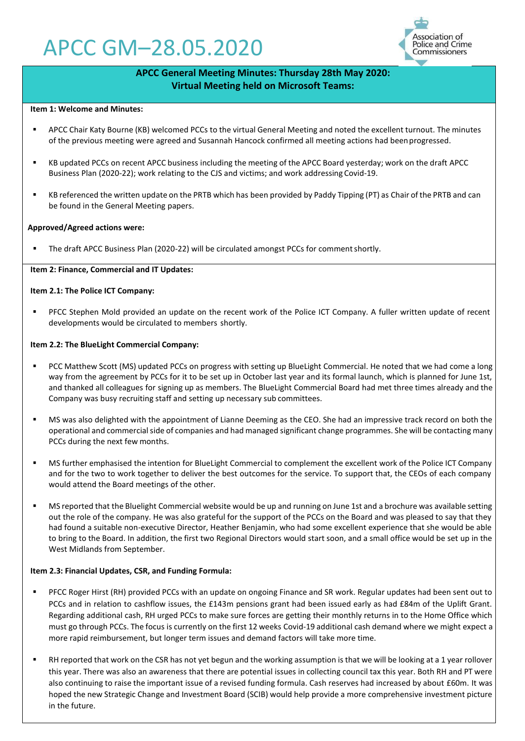# APCC GM–28.05.2020



# **APCC General Meeting Minutes: Thursday 28th May 2020: Virtual Meeting held on Microsoft Teams:**

### **Item 1: Welcome and Minutes:**

- APCC Chair Katy Bourne (KB) welcomed PCCs to the virtual General Meeting and noted the excellent turnout. The minutes of the previous meeting were agreed and Susannah Hancock confirmed all meeting actions had beenprogressed.
- KB updated PCCs on recent APCC business including the meeting of the APCC Board yesterday; work on the draft APCC Business Plan (2020-22); work relating to the CJS and victims; and work addressing Covid-19.
- KB referenced the written update on the PRTB which has been provided by Paddy Tipping (PT) as Chair ofthe PRTB and can be found in the General Meeting papers.

### **Approved/Agreed actions were:**

The draft APCC Business Plan (2020-22) will be circulated amongst PCCs for comment shortly.

### **Item 2: Finance, Commercial and IT Updates:**

### **Item 2.1: The Police ICT Company:**

PFCC Stephen Mold provided an update on the recent work of the Police ICT Company. A fuller written update of recent developments would be circulated to members shortly.

### **Item 2.2: The BlueLight Commercial Company:**

- PCC Matthew Scott (MS) updated PCCs on progress with setting up BlueLight Commercial. He noted that we had come a long way from the agreement by PCCs for it to be set up in October last year and its formal launch, which is planned for June 1st, and thanked all colleagues for signing up as members. The BlueLight Commercial Board had met three times already and the Company was busy recruiting staff and setting up necessary sub committees.
- MS was also delighted with the appointment of Lianne Deeming as the CEO. She had an impressive track record on both the operational and commercial side of companies and had managed significant change programmes. She will be contacting many PCCs during the next few months.
- MS further emphasised the intention for BlueLight Commercial to complement the excellent work of the Police ICT Company and for the two to work together to deliver the best outcomes for the service. To support that, the CEOs of each company would attend the Board meetings of the other.
- MS reported that the Bluelight Commercial website would be up and running on June 1st and a brochure was available setting out the role of the company. He was also grateful for the support of the PCCs on the Board and was pleased to say that they had found a suitable non-executive Director, Heather Benjamin, who had some excellent experience that she would be able to bring to the Board. In addition, the first two Regional Directors would start soon, and a small office would be set up in the West Midlands from September.

# **Item 2.3: Financial Updates, CSR, and Funding Formula:**

- PFCC Roger Hirst (RH) provided PCCs with an update on ongoing Finance and SR work. Regular updates had been sent out to PCCs and in relation to cashflow issues, the £143m pensions grant had been issued early as had £84m of the Uplift Grant. Regarding additional cash, RH urged PCCs to make sure forces are getting their monthly returns in to the Home Office which must go through PCCs. The focus is currently on the first 12 weeks Covid-19 additional cash demand where we might expect a more rapid reimbursement, but longer term issues and demand factors will take more time.
- RH reported that work on the CSR has not yet begun and the working assumption is that we will be looking at a 1 year rollover this year. There was also an awareness that there are potential issues in collecting council tax this year. Both RH and PT were also continuing to raise the important issue of a revised funding formula. Cash reserves had increased by about £60m. It was hoped the new Strategic Change and Investment Board (SCIB) would help provide a more comprehensive investment picture in the future.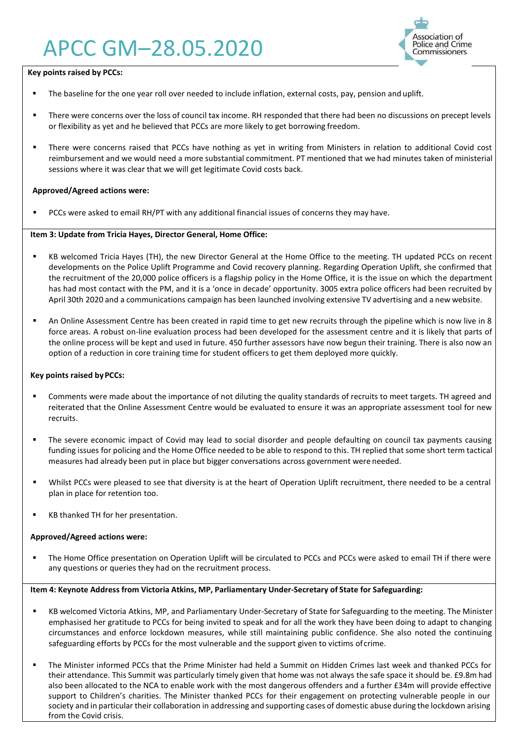# APCC GM–28.05.2020



# **Key points raised by PCCs:**

- The baseline for the one year roll over needed to include inflation, external costs, pay, pension and uplift.
- There were concerns over the loss of council tax income. RH responded that there had been no discussions on precept levels or flexibility as yet and he believed that PCCs are more likely to get borrowing freedom.
- There were concerns raised that PCCs have nothing as yet in writing from Ministers in relation to additional Covid cost reimbursement and we would need a more substantial commitment. PT mentioned that we had minutes taken of ministerial sessions where it was clear that we will get legitimate Covid costs back.

# **Approved/Agreed actions were:**

PCCs were asked to email RH/PT with any additional financial issues of concerns they may have.

# **Item 3: Update from Tricia Hayes, Director General, Home Office:**

- KB welcomed Tricia Hayes (TH), the new Director General at the Home Office to the meeting. TH updated PCCs on recent developments on the Police Uplift Programme and Covid recovery planning. Regarding Operation Uplift, she confirmed that the recruitment of the 20,000 police officers is a flagship policy in the Home Office, it is the issue on which the department has had most contact with the PM, and it is a 'once in decade' opportunity. 3005 extra police officers had been recruited by April 30th 2020 and a communications campaign has been launched involving extensive TV advertising and a new website.
- An Online Assessment Centre has been created in rapid time to get new recruits through the pipeline which is now live in 8 force areas. A robust on-line evaluation process had been developed for the assessment centre and it is likely that parts of the online process will be kept and used in future. 450 further assessors have now begun their training. There is also now an option of a reduction in core training time for student officers to get them deployed more quickly.

# **Key points raised byPCCs:**

- Comments were made about the importance of not diluting the quality standards of recruits to meet targets. TH agreed and reiterated that the Online Assessment Centre would be evaluated to ensure it was an appropriate assessment tool for new recruits.
- The severe economic impact of Covid may lead to social disorder and people defaulting on council tax payments causing funding issues for policing and the Home Office needed to be able to respond to this. TH replied that some short term tactical measures had already been put in place but bigger conversations across government were needed.
- Whilst PCCs were pleased to see that diversity is at the heart of Operation Uplift recruitment, there needed to be a central plan in place for retention too.
- KB thanked TH for her presentation.

# **Approved/Agreed actions were:**

The Home Office presentation on Operation Uplift will be circulated to PCCs and PCCs were asked to email TH if there were any questions or queries they had on the recruitment process.

# **Item 4: Keynote Address from Victoria Atkins, MP, Parliamentary Under-Secretary of State for Safeguarding:**

- KB welcomed Victoria Atkins, MP, and Parliamentary Under-Secretary of State for Safeguarding to the meeting. The Minister emphasised her gratitude to PCCs for being invited to speak and for all the work they have been doing to adapt to changing circumstances and enforce lockdown measures, while still maintaining public confidence. She also noted the continuing safeguarding efforts by PCCs for the most vulnerable and the support given to victims ofcrime.
- The Minister informed PCCs that the Prime Minister had held a Summit on Hidden Crimes last week and thanked PCCs for their attendance. This Summit was particularly timely given that home was not always the safe space it should be. £9.8m had also been allocated to the NCA to enable work with the most dangerous offenders and a further £34m will provide effective support to Children's charities. The Minister thanked PCCs for their engagement on protecting vulnerable people in our society and in particular their collaboration in addressing and supporting cases of domestic abuse during the lockdown arising from the Covid crisis.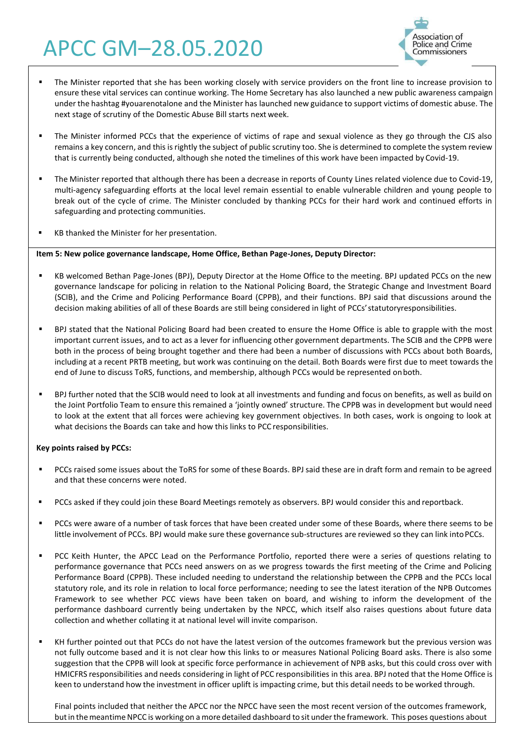# APCC GM–28.05.2020



- The Minister reported that she has been working closely with service providers on the front line to increase provision to ensure these vital services can continue working. The Home Secretary has also launched a new public awareness campaign under the hashtag #youarenotalone and the Minister has launched new guidance to support victims of domestic abuse. The next stage of scrutiny of the Domestic Abuse Bill starts next week.
- The Minister informed PCCs that the experience of victims of rape and sexual violence as they go through the CJS also remains a key concern, and this is rightly the subject of public scrutiny too. She is determined to complete the system review that is currently being conducted, although she noted the timelines of this work have been impacted by Covid-19.
- **The Minister reported that although there has been a decrease in reports of County Lines related violence due to Covid-19,** multi-agency safeguarding efforts at the local level remain essential to enable vulnerable children and young people to break out of the cycle of crime. The Minister concluded by thanking PCCs for their hard work and continued efforts in safeguarding and protecting communities.
- KB thanked the Minister for her presentation.

# **Item 5: New police governance landscape, Home Office, Bethan Page-Jones, Deputy Director:**

- KB welcomed Bethan Page-Jones (BPJ), Deputy Director at the Home Office to the meeting. BPJ updated PCCs on the new governance landscape for policing in relation to the National Policing Board, the Strategic Change and Investment Board (SCIB), and the Crime and Policing Performance Board (CPPB), and their functions. BPJ said that discussions around the decision making abilities of all of these Boards are still being considered in light of PCCs'statutoryresponsibilities.
- BPJ stated that the National Policing Board had been created to ensure the Home Office is able to grapple with the most important current issues, and to act as a lever for influencing other government departments. The SCIB and the CPPB were both in the process of being brought together and there had been a number of discussions with PCCs about both Boards, including at a recent PRTB meeting, but work was continuing on the detail. Both Boards were first due to meet towards the end of June to discuss ToRS, functions, and membership, although PCCs would be represented onboth.
- BPJ further noted that the SCIB would need to look at all investments and funding and focus on benefits, as well as build on the Joint Portfolio Team to ensure this remained a 'jointly owned' structure. The CPPB was in development but would need to look at the extent that all forces were achieving key government objectives. In both cases, work is ongoing to look at what decisions the Boards can take and how this links to PCC responsibilities.

# **Key points raised by PCCs:**

- PCCs raised some issues about the ToRS for some of these Boards. BPJ said these are in draft form and remain to be agreed and that these concerns were noted.
- **•** PCCs asked if they could join these Board Meetings remotely as observers. BPJ would consider this and reportback.
- PCCs were aware of a number of task forces that have been created under some of these Boards, where there seems to be little involvement of PCCs. BPJ would make sure these governance sub-structures are reviewed so they can link intoPCCs.
- PCC Keith Hunter, the APCC Lead on the Performance Portfolio, reported there were a series of questions relating to performance governance that PCCs need answers on as we progress towards the first meeting of the Crime and Policing Performance Board (CPPB). These included needing to understand the relationship between the CPPB and the PCCs local statutory role, and its role in relation to local force performance; needing to see the latest iteration of the NPB Outcomes Framework to see whether PCC views have been taken on board, and wishing to inform the development of the performance dashboard currently being undertaken by the NPCC, which itself also raises questions about future data collection and whether collating it at national level will invite comparison.
- KH further pointed out that PCCs do not have the latest version of the outcomes framework but the previous version was not fully outcome based and it is not clear how this links to or measures National Policing Board asks. There is also some suggestion that the CPPB will look at specific force performance in achievement of NPB asks, but this could cross over with HMICFRS responsibilities and needs considering in light of PCC responsibilities in this area. BPJ noted that the Home Office is keen to understand how the investment in officer uplift is impacting crime, but this detail needs to be worked through.

Final points included that neither the APCC nor the NPCC have seen the most recent version of the outcomes framework, but in the meantime NPCC is working on a more detailed dashboard to sit under the framework. This poses questions about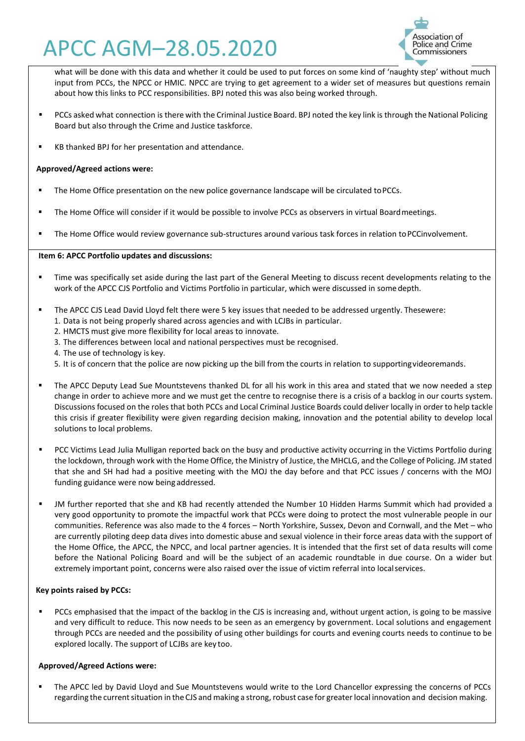# APCC AGM–28.05.2020



what will be done with this data and whether it could be used to put forces on some kind of 'naughty step' without much input from PCCs, the NPCC or HMIC. NPCC are trying to get agreement to a wider set of measures but questions remain about how this links to PCC responsibilities. BPJ noted this was also being worked through.

- PCCs asked what connection is there with the Criminal Justice Board. BPJ noted the key link is through the National Policing Board but also through the Crime and Justice taskforce.
- KB thanked BPJ for her presentation and attendance.

# **Approved/Agreed actions were:**

- **■** The Home Office presentation on the new police governance landscape will be circulated to PCCs.
- The Home Office will consider if it would be possible to involve PCCs as observers in virtual Board meetings.
- The Home Office would review governance sub-structures around various task forces in relation to PCCinvolvement.

# **Item 6: APCC Portfolio updates and discussions:**

- **Time was specifically set aside during the last part of the General Meeting to discuss recent developments relating to the** work of the APCC CJS Portfolio and Victims Portfolio in particular, which were discussed in some depth.
- The APCC CJS Lead David Lloyd felt there were 5 key issues that needed to be addressed urgently. Thesewere:
	- 1. Data is not being properly shared across agencies and with LCJBs in particular.
	- 2. HMCTS must give more flexibility for local areas to innovate.
	- 3. The differences between local and national perspectives must be recognised.
	- 4. The use of technology is key.
	- 5. It is of concern that the police are now picking up the bill from the courts in relation to supportingvideoremands.
- **.** The APCC Deputy Lead Sue Mountstevens thanked DL for all his work in this area and stated that we now needed a step change in order to achieve more and we must get the centre to recognise there is a crisis of a backlog in our courts system. Discussionsfocused on the roles that both PCCs and Local Criminal Justice Boards could deliver locally in order to help tackle this crisis if greater flexibility were given regarding decision making, innovation and the potential ability to develop local solutions to local problems.
- PCC Victims Lead Julia Mulligan reported back on the busy and productive activity occurring in the Victims Portfolio during the lockdown, through work with the Home Office, the Ministry of Justice, the MHCLG, and the College of Policing. JM stated that she and SH had had a positive meeting with the MOJ the day before and that PCC issues / concerns with the MOJ funding guidance were now being addressed.
- JM further reported that she and KB had recently attended the Number 10 Hidden Harms Summit which had provided a very good opportunity to promote the impactful work that PCCs were doing to protect the most vulnerable people in our communities. Reference was also made to the 4 forces – North Yorkshire, Sussex, Devon and Cornwall, and the Met – who are currently piloting deep data dives into domestic abuse and sexual violence in their force areas data with the support of the Home Office, the APCC, the NPCC, and local partner agencies. It is intended that the first set of data results will come before the National Policing Board and will be the subject of an academic roundtable in due course. On a wider but extremely important point, concerns were also raised over the issue of victim referral into localservices.

# **Key points raised by PCCs:**

PCCs emphasised that the impact of the backlog in the CJS is increasing and, without urgent action, is going to be massive and very difficult to reduce. This now needs to be seen as an emergency by government. Local solutions and engagement through PCCs are needed and the possibility of using other buildings for courts and evening courts needs to continue to be explored locally. The support of LCJBs are key too.

# **Approved/Agreed Actions were:**

▪ The APCC led by David Lloyd and Sue Mountstevens would write to the Lord Chancellor expressing the concerns of PCCs regarding the current situation in the CJS and making a strong, robust case for greater local innovation and decision making.